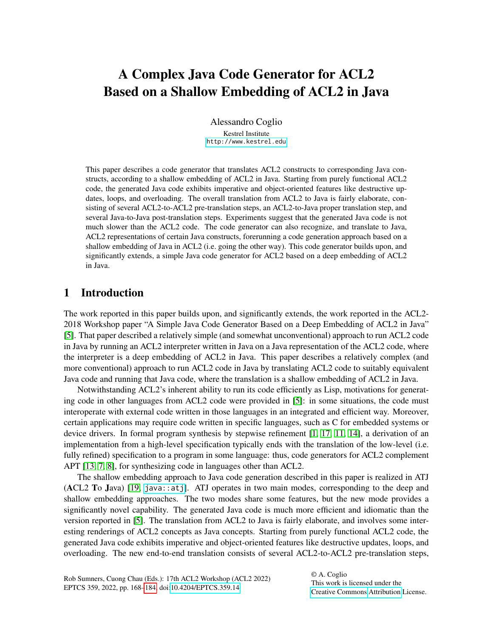# A Complex Java Code Generator for ACL2 Based on a Shallow Embedding of ACL2 in Java

Alessandro Coglio Kestrel Institute <http://www.kestrel.edu>

This paper describes a code generator that translates ACL2 constructs to corresponding Java constructs, according to a shallow embedding of ACL2 in Java. Starting from purely functional ACL2 code, the generated Java code exhibits imperative and object-oriented features like destructive updates, loops, and overloading. The overall translation from ACL2 to Java is fairly elaborate, consisting of several ACL2-to-ACL2 pre-translation steps, an ACL2-to-Java proper translation step, and several Java-to-Java post-translation steps. Experiments suggest that the generated Java code is not much slower than the ACL2 code. The code generator can also recognize, and translate to Java, ACL2 representations of certain Java constructs, forerunning a code generation approach based on a shallow embedding of Java in ACL2 (i.e. going the other way). This code generator builds upon, and significantly extends, a simple Java code generator for ACL2 based on a deep embedding of ACL2 in Java.

# 1 Introduction

The work reported in this paper builds upon, and significantly extends, the work reported in the ACL2- 2018 Workshop paper "A Simple Java Code Generator Based on a Deep Embedding of ACL2 in Java" [\[5\]](#page-16-1). That paper described a relatively simple (and somewhat unconventional) approach to run ACL2 code in Java by running an ACL2 interpreter written in Java on a Java representation of the ACL2 code, where the interpreter is a deep embedding of ACL2 in Java. This paper describes a relatively complex (and more conventional) approach to run ACL2 code in Java by translating ACL2 code to suitably equivalent Java code and running that Java code, where the translation is a shallow embedding of ACL2 in Java.

Notwithstanding ACL2's inherent ability to run its code efficiently as Lisp, motivations for generating code in other languages from ACL2 code were provided in [\[5\]](#page-16-1): in some situations, the code must interoperate with external code written in those languages in an integrated and efficient way. Moreover, certain applications may require code written in specific languages, such as C for embedded systems or device drivers. In formal program synthesis by stepwise refinement [\[1,](#page-16-2) [17,](#page-16-3) [11,](#page-16-4) [14\]](#page-16-5), a derivation of an implementation from a high-level specification typically ends with the translation of the low-level (i.e. fully refined) specification to a program in some language: thus, code generators for ACL2 complement APT [\[13,](#page-16-6) [7,](#page-16-7) [8\]](#page-16-8), for synthesizing code in languages other than ACL2.

The shallow embedding approach to Java code generation described in this paper is realized in ATJ (ACL2 To Java) [\[19,](#page-16-9) [java::atj](http://acl2.org/manual?topic=JAVA____ATJ)]. ATJ operates in two main modes, corresponding to the deep and shallow embedding approaches. The two modes share some features, but the new mode provides a significantly novel capability. The generated Java code is much more efficient and idiomatic than the version reported in [\[5\]](#page-16-1). The translation from ACL2 to Java is fairly elaborate, and involves some interesting renderings of ACL2 concepts as Java concepts. Starting from purely functional ACL2 code, the generated Java code exhibits imperative and object-oriented features like destructive updates, loops, and overloading. The new end-to-end translation consists of several ACL2-to-ACL2 pre-translation steps,

© A. Coglio This work is licensed under the [Creative Commons](https://creativecommons.org) [Attribution](https://creativecommons.org/licenses/by/4.0/) License.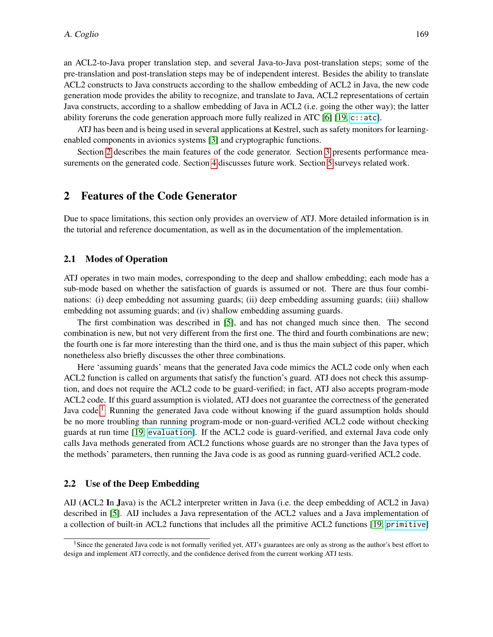an ACL2-to-Java proper translation step, and several Java-to-Java post-translation steps; some of the pre-translation and post-translation steps may be of independent interest. Besides the ability to translate ACL2 constructs to Java constructs according to the shallow embedding of ACL2 in Java, the new code generation mode provides the ability to recognize, and translate to Java, ACL2 representations of certain Java constructs, according to a shallow embedding of Java in ACL2 (i.e. going the other way); the latter ability foreruns the code generation approach more fully realized in ATC [\[6\]](#page-16-10)  $[19, c$  $[19, c$ : atc].

ATJ has been and is being used in several applications at Kestrel, such as safety monitors for learningenabled components in avionics systems [\[3\]](#page-16-11) and cryptographic functions.

Section [2](#page-1-0) describes the main features of the code generator. Section [3](#page-13-0) presents performance measurements on the generated code. Section [4](#page-14-0) discusses future work. Section [5](#page-15-0) surveys related work.

# <span id="page-1-0"></span>2 Features of the Code Generator

Due to space limitations, this section only provides an overview of ATJ. More detailed information is in the tutorial and reference documentation, as well as in the documentation of the implementation.

#### <span id="page-1-2"></span>2.1 Modes of Operation

ATJ operates in two main modes, corresponding to the deep and shallow embedding; each mode has a sub-mode based on whether the satisfaction of guards is assumed or not. There are thus four combinations: (i) deep embedding not assuming guards; (ii) deep embedding assuming guards; (iii) shallow embedding not assuming guards; and (iv) shallow embedding assuming guards.

The first combination was described in [\[5\]](#page-16-1), and has not changed much since then. The second combination is new, but not very different from the first one. The third and fourth combinations are new; the fourth one is far more interesting than the third one, and is thus the main subject of this paper, which nonetheless also briefly discusses the other three combinations.

Here 'assuming guards' means that the generated Java code mimics the ACL2 code only when each ACL2 function is called on arguments that satisfy the function's guard. ATJ does not check this assumption, and does not require the ACL2 code to be guard-verified; in fact, ATJ also accepts program-mode ACL2 code. If this guard assumption is violated, ATJ does not guarantee the correctness of the generated Java code.<sup>[1](#page-1-1)</sup> Running the generated Java code without knowing if the guard assumption holds should be no more troubling than running program-mode or non-guard-verified ACL2 code without checking guards at run time [\[19,](#page-16-9) [evaluation](http://acl2.org/manual?topic=ACL2____EVALUATION)]. If the ACL2 code is guard-verified, and external Java code only calls Java methods generated from ACL2 functions whose guards are no stronger than the Java types of the methods' parameters, then running the Java code is as good as running guard-verified ACL2 code.

#### <span id="page-1-3"></span>2.2 Use of the Deep Embedding

AIJ (ACL2 In Java) is the ACL2 interpreter written in Java (i.e. the deep embedding of ACL2 in Java) described in [\[5\]](#page-16-1). AIJ includes a Java representation of the ACL2 values and a Java implementation of a collection of built-in ACL2 functions that includes all the primitive ACL2 functions [\[19,](#page-16-9) [primitive](http://acl2.org/manual?topic=ACL2____PRIMITIVE)]

<span id="page-1-1"></span><sup>&</sup>lt;sup>1</sup>Since the generated Java code is not formally verified yet, ATJ's guarantees are only as strong as the author's best effort to design and implement ATJ correctly, and the confidence derived from the current working ATJ tests.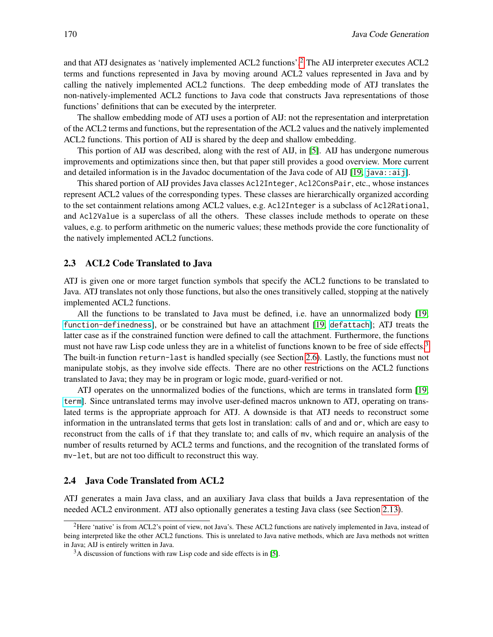and that ATJ designates as 'natively implemented ACL2 functions'.[2](#page-2-0) The AIJ interpreter executes ACL2 terms and functions represented in Java by moving around ACL2 values represented in Java and by calling the natively implemented ACL2 functions. The deep embedding mode of ATJ translates the non-natively-implemented ACL2 functions to Java code that constructs Java representations of those functions' definitions that can be executed by the interpreter.

The shallow embedding mode of ATJ uses a portion of AIJ: not the representation and interpretation of the ACL2 terms and functions, but the representation of the ACL2 values and the natively implemented ACL2 functions. This portion of AIJ is shared by the deep and shallow embedding.

This portion of AIJ was described, along with the rest of AIJ, in [\[5\]](#page-16-1). AIJ has undergone numerous improvements and optimizations since then, but that paper still provides a good overview. More current and detailed information is in the Javadoc documentation of the Java code of AIJ [\[19,](#page-16-9) [java::aij](http://acl2.org/manual?topic=JAVA____AIJ)].

This shared portion of AIJ provides Java classes Acl2Integer, Acl2ConsPair, etc., whose instances represent ACL2 values of the corresponding types. These classes are hierarchically organized according to the set containment relations among ACL2 values, e.g. Acl2Integer is a subclass of Acl2Rational, and Acl2Value is a superclass of all the others. These classes include methods to operate on these values, e.g. to perform arithmetic on the numeric values; these methods provide the core functionality of the natively implemented ACL2 functions.

#### <span id="page-2-2"></span>2.3 ACL2 Code Translated to Java

ATJ is given one or more target function symbols that specify the ACL2 functions to be translated to Java. ATJ translates not only those functions, but also the ones transitively called, stopping at the natively implemented ACL2 functions.

All the functions to be translated to Java must be defined, i.e. have an unnormalized body [\[19,](#page-16-9) [function-definedness](http://acl2.org/manual?topic=ACL2____FUNCTION-DEFINEDNESS)], or be constrained but have an attachment [\[19,](#page-16-9) [defattach](http://acl2.org/manual?topic=ACL2____DEFATTACH)]; ATJ treats the latter case as if the constrained function were defined to call the attachment. Furthermore, the functions must not have raw Lisp code unless they are in a whitelist of functions known to be free of side effects.<sup>[3](#page-2-1)</sup> The built-in function return-last is handled specially (see Section [2.6\)](#page-4-0). Lastly, the functions must not manipulate stobjs, as they involve side effects. There are no other restrictions on the ACL2 functions translated to Java; they may be in program or logic mode, guard-verified or not.

ATJ operates on the unnormalized bodies of the functions, which are terms in translated form [\[19,](#page-16-9) [term](http://acl2.org/manual?topic=ACL2____TERM)]. Since untranslated terms may involve user-defined macros unknown to ATJ, operating on translated terms is the appropriate approach for ATJ. A downside is that ATJ needs to reconstruct some information in the untranslated terms that gets lost in translation: calls of and and or, which are easy to reconstruct from the calls of if that they translate to; and calls of mv, which require an analysis of the number of results returned by ACL2 terms and functions, and the recognition of the translated forms of mv-let, but are not too difficult to reconstruct this way.

#### <span id="page-2-3"></span>2.4 Java Code Translated from ACL2

ATJ generates a main Java class, and an auxiliary Java class that builds a Java representation of the needed ACL2 environment. ATJ also optionally generates a testing Java class (see Section [2.13\)](#page-12-0).

<span id="page-2-0"></span><sup>2</sup>Here 'native' is from ACL2's point of view, not Java's. These ACL2 functions are natively implemented in Java, instead of being interpreted like the other ACL2 functions. This is unrelated to Java native methods, which are Java methods not written in Java; AIJ is entirely written in Java.

<span id="page-2-1"></span><sup>&</sup>lt;sup>3</sup>A discussion of functions with raw Lisp code and side effects is in [\[5\]](#page-16-1).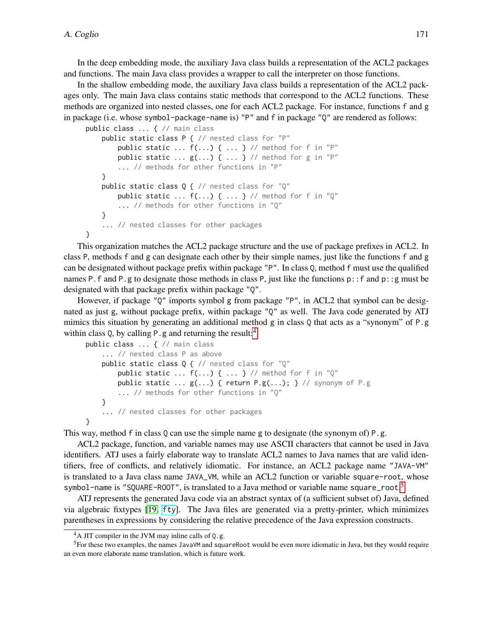In the deep embedding mode, the auxiliary Java class builds a representation of the ACL2 packages and functions. The main Java class provides a wrapper to call the interpreter on those functions.

In the shallow embedding mode, the auxiliary Java class builds a representation of the ACL2 packages only. The main Java class contains static methods that correspond to the ACL2 functions. These methods are organized into nested classes, one for each ACL2 package. For instance, functions f and g in package (i.e. whose symbol-package-name is) "P" and f in package "Q" are rendered as follows:

```
public class ... { // main class
    public static class P { // nested class for "P"
        public static \ldots f(\ldots) { \ldots } // method for f in "P"
        public static ... g(...) { ... } // method for g in "P"
        ... // methods for other functions in "P"
    }
    public static class Q { // nested class for "Q"
        public static \dots f(\dots) { \dots } // method for f in "Q"
        ... // methods for other functions in "Q"
    }
    ... // nested classes for other packages
}
```
This organization matches the ACL2 package structure and the use of package prefixes in ACL2. In class P, methods f and g can designate each other by their simple names, just like the functions f and g can be designated without package prefix within package "P". In class Q, method f must use the qualified names P.f and P.g to designate those methods in class P, just like the functions p::f and p::g must be designated with that package prefix within package "Q".

However, if package "Q" imports symbol g from package "P", in ACL2 that symbol can be designated as just g, without package prefix, within package "Q" as well. The Java code generated by ATJ mimics this situation by generating an additional method g in class Q that acts as a "synonym" of P.g within class  $Q$ , by calling P, g and returning the result:<sup>[4](#page-3-0)</sup>

```
public class ... { // main class
    ... // nested class P as above
    public static class Q { // nested class for "Q"
        public static \dots f(\dots) { \dots } // method for f in "Q"
        public static \ldots g(\ldots) { return P.g(\ldots); } // synonym of P.g
        ... // methods for other functions in "Q"
    }
    ... // nested classes for other packages
}
```
This way, method f in class Q can use the simple name g to designate (the synonym of) P.g.

ACL2 package, function, and variable names may use ASCII characters that cannot be used in Java identifiers. ATJ uses a fairly elaborate way to translate ACL2 names to Java names that are valid identifiers, free of conflicts, and relatively idiomatic. For instance, an ACL2 package name "JAVA-VM" is translated to a Java class name JAVA\_VM, while an ACL2 function or variable square-root, whose symbol-name is "SQUARE-ROOT", is translated to a Java method or variable name square\_root.<sup>[5](#page-3-1)</sup>

ATJ represents the generated Java code via an abstract syntax of (a sufficient subset of) Java, defined via algebraic fixtypes [\[19,](#page-16-9) [fty](http://acl2.org/manual?topic=ACL2____FTY)]. The Java files are generated via a pretty-printer, which minimizes parentheses in expressions by considering the relative precedence of the Java expression constructs.

<span id="page-3-1"></span><span id="page-3-0"></span> $4A$  JIT compiler in the JVM may inline calls of Q.g.

<sup>5</sup>For these two examples, the names JavaVM and squareRoot would be even more idiomatic in Java, but they would require an even more elaborate name translation, which is future work.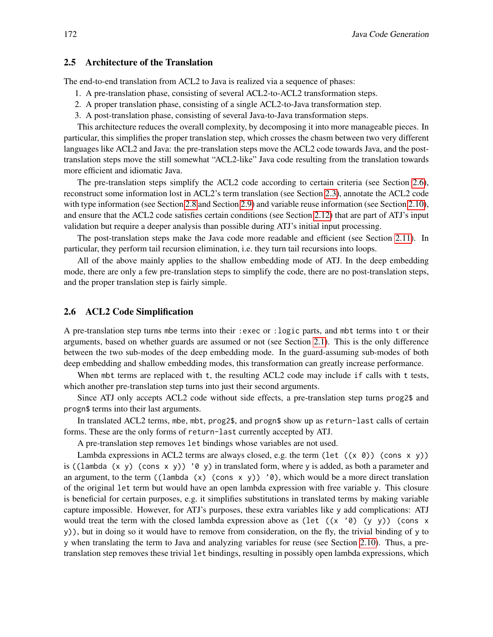#### 2.5 Architecture of the Translation

The end-to-end translation from ACL2 to Java is realized via a sequence of phases:

- 1. A pre-translation phase, consisting of several ACL2-to-ACL2 transformation steps.
- 2. A proper translation phase, consisting of a single ACL2-to-Java transformation step.
- 3. A post-translation phase, consisting of several Java-to-Java transformation steps.

This architecture reduces the overall complexity, by decomposing it into more manageable pieces. In particular, this simplifies the proper translation step, which crosses the chasm between two very different languages like ACL2 and Java: the pre-translation steps move the ACL2 code towards Java, and the posttranslation steps move the still somewhat "ACL2-like" Java code resulting from the translation towards more efficient and idiomatic Java.

The pre-translation steps simplify the ACL2 code according to certain criteria (see Section [2.6\)](#page-4-0), reconstruct some information lost in ACL2's term translation (see Section [2.3\)](#page-2-2), annotate the ACL2 code with type information (see Section [2.8](#page-5-0) and Section [2.9\)](#page-7-0) and variable reuse information (see Section [2.10\)](#page-8-0), and ensure that the ACL2 code satisfies certain conditions (see Section [2.12\)](#page-11-0) that are part of ATJ's input validation but require a deeper analysis than possible during ATJ's initial input processing.

The post-translation steps make the Java code more readable and efficient (see Section [2.11\)](#page-10-0). In particular, they perform tail recursion elimination, i.e. they turn tail recursions into loops.

All of the above mainly applies to the shallow embedding mode of ATJ. In the deep embedding mode, there are only a few pre-translation steps to simplify the code, there are no post-translation steps, and the proper translation step is fairly simple.

#### <span id="page-4-0"></span>2.6 ACL2 Code Simplification

A pre-translation step turns mbe terms into their :exec or :logic parts, and mbt terms into t or their arguments, based on whether guards are assumed or not (see Section [2.1\)](#page-1-2). This is the only difference between the two sub-modes of the deep embedding mode. In the guard-assuming sub-modes of both deep embedding and shallow embedding modes, this transformation can greatly increase performance.

When mbt terms are replaced with t, the resulting ACL2 code may include if calls with t tests, which another pre-translation step turns into just their second arguments.

Since ATJ only accepts ACL2 code without side effects, a pre-translation step turns prog2\$ and progn\$ terms into their last arguments.

In translated ACL2 terms, mbe, mbt, prog2\$, and progn\$ show up as return-last calls of certain forms. These are the only forms of return-last currently accepted by ATJ.

A pre-translation step removes let bindings whose variables are not used.

Lambda expressions in ACL2 terms are always closed, e.g. the term (let  $((x 0))$  (cons x y)) is ((lambda  $(x, y)$  (cons  $x, y$ )) '0 y) in translated form, where y is added, as both a parameter and an argument, to the term ((lambda (x) (cons x y)) ' $\theta$ ), which would be a more direct translation of the original let term but would have an open lambda expression with free variable y. This closure is beneficial for certain purposes, e.g. it simplifies substitutions in translated terms by making variable capture impossible. However, for ATJ's purposes, these extra variables like y add complications: ATJ would treat the term with the closed lambda expression above as (let  $((x' \theta) (y y))$  (cons x y)), but in doing so it would have to remove from consideration, on the fly, the trivial binding of y to y when translating the term to Java and analyzing variables for reuse (see Section [2.10\)](#page-8-0). Thus, a pretranslation step removes these trivial let bindings, resulting in possibly open lambda expressions, which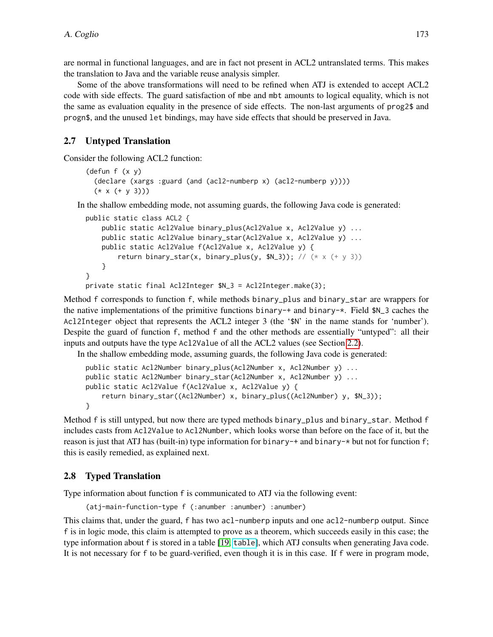are normal in functional languages, and are in fact not present in ACL2 untranslated terms. This makes the translation to Java and the variable reuse analysis simpler.

Some of the above transformations will need to be refined when ATJ is extended to accept ACL2 code with side effects. The guard satisfaction of mbe and mbt amounts to logical equality, which is not the same as evaluation equality in the presence of side effects. The non-last arguments of prog2\$ and progn\$, and the unused let bindings, may have side effects that should be preserved in Java.

# <span id="page-5-1"></span>2.7 Untyped Translation

Consider the following ACL2 function:

```
(defun f (x y)
 (declare (xargs :guard (and (acl2-numberp x) (acl2-numberp y))))
 (* x (+ y 3)))
```
In the shallow embedding mode, not assuming guards, the following Java code is generated:

```
public static class ACL2 {
    public static Acl2Value binary_plus(Acl2Value x, Acl2Value y) ...
    public static Acl2Value binary_star(Acl2Value x, Acl2Value y) ...
    public static Acl2Value f(Acl2Value x, Acl2Value y) {
        return binary_star(x, binary_plus(y, M_3)); // (* x (+ y 3))
    }
}
private static final Acl2Integer $N_3 = Acl2Integer.make(3);
```
Method f corresponds to function f, while methods binary\_plus and binary\_star are wrappers for the native implementations of the primitive functions binary-+ and binary- $\star$ . Field  $\Lambda$  3 caches the Acl2Integer object that represents the ACL2 integer 3 (the '\$N' in the name stands for 'number'). Despite the guard of function f, method f and the other methods are essentially "untyped": all their inputs and outputs have the type Acl2Value of all the ACL2 values (see Section [2.2\)](#page-1-3).

In the shallow embedding mode, assuming guards, the following Java code is generated:

```
public static Acl2Number binary_plus(Acl2Number x, Acl2Number y) ...
public static Acl2Number binary_star(Acl2Number x, Acl2Number y) ...
public static Acl2Value f(Acl2Value x, Acl2Value y) {
    return binary_star((Acl2Number) x, binary_plus((Acl2Number) y, $N_3));
}
```
Method f is still untyped, but now there are typed methods binary\_plus and binary\_star. Method f includes casts from Acl2Value to Acl2Number, which looks worse than before on the face of it, but the reason is just that ATJ has (built-in) type information for binary-+ and binary-\* but not for function f; this is easily remedied, as explained next.

### <span id="page-5-0"></span>2.8 Typed Translation

Type information about function f is communicated to ATJ via the following event:

```
(atj-main-function-type f (:anumber :anumber) :anumber)
```
This claims that, under the guard, f has two acl-numberp inputs and one acl2-numberp output. Since f is in logic mode, this claim is attempted to prove as a theorem, which succeeds easily in this case; the type information about f is stored in a table [\[19,](#page-16-9) [table](http://acl2.org/manual?topic=ACL2____TABLE)], which ATJ consults when generating Java code. It is not necessary for f to be guard-verified, even though it is in this case. If f were in program mode,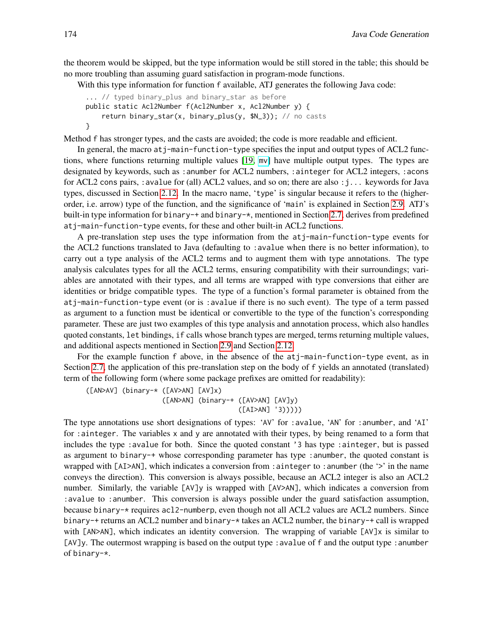the theorem would be skipped, but the type information would be still stored in the table; this should be no more troubling than assuming guard satisfaction in program-mode functions.

With this type information for function f available, ATJ generates the following Java code:

```
... // typed binary_plus and binary_star as before
public static Acl2Number f(Acl2Number x, Acl2Number y) {
    return binary_star(x, binary_plus(y, $N_3)); // no casts
}
```
Method f has stronger types, and the casts are avoided; the code is more readable and efficient.

In general, the macro atj-main-function-type specifies the input and output types of ACL2 functions, where functions returning multiple values [\[19,](#page-16-9) [mv](http://acl2.org/manual?topic=ACL2____MV)] have multiple output types. The types are designated by keywords, such as :anumber for ACL2 numbers, :ainteger for ACL2 integers, :acons for ACL2 cons pairs, : avalue for (all) ACL2 values, and so on; there are also : j... keywords for Java types, discussed in Section [2.12.](#page-11-0) In the macro name, 'type' is singular because it refers to the (higherorder, i.e. arrow) type of the function, and the significance of 'main' is explained in Section [2.9.](#page-7-0) ATJ's built-in type information for binary-+ and binary-\*, mentioned in Section [2.7,](#page-5-1) derives from predefined atj-main-function-type events, for these and other built-in ACL2 functions.

A pre-translation step uses the type information from the atj-main-function-type events for the ACL2 functions translated to Java (defaulting to :avalue when there is no better information), to carry out a type analysis of the ACL2 terms and to augment them with type annotations. The type analysis calculates types for all the ACL2 terms, ensuring compatibility with their surroundings; variables are annotated with their types, and all terms are wrapped with type conversions that either are identities or bridge compatible types. The type of a function's formal parameter is obtained from the atj-main-function-type event (or is :avalue if there is no such event). The type of a term passed as argument to a function must be identical or convertible to the type of the function's corresponding parameter. These are just two examples of this type analysis and annotation process, which also handles quoted constants, let bindings, if calls whose branch types are merged, terms returning multiple values, and additional aspects mentioned in Section [2.9](#page-7-0) and Section [2.12.](#page-11-0)

For the example function f above, in the absence of the atj-main-function-type event, as in Section [2.7,](#page-5-1) the application of this pre-translation step on the body of f yields an annotated (translated) term of the following form (where some package prefixes are omitted for readability):

([AN>AV] (binary-\* ([AV>AN] [AV]x) ([AN>AN] (binary-+ ([AV>AN] [AV]y) ([AI>AN] '3)))))

The type annotations use short designations of types: 'AV' for :avalue, 'AN' for :anumber, and 'AI' for :ainteger. The variables x and y are annotated with their types, by being renamed to a form that includes the type :avalue for both. Since the quoted constant '3 has type :ainteger, but is passed as argument to binary-+ whose corresponding parameter has type :anumber, the quoted constant is wrapped with [AI>AN], which indicates a conversion from : ainteger to : anumber (the '>' in the name conveys the direction). This conversion is always possible, because an ACL2 integer is also an ACL2 number. Similarly, the variable [AV]y is wrapped with [AV>AN], which indicates a conversion from :avalue to :anumber. This conversion is always possible under the guard satisfaction assumption, because binary-\* requires acl2-numberp, even though not all ACL2 values are ACL2 numbers. Since binary-+ returns an ACL2 number and binary-\* takes an ACL2 number, the binary-+ call is wrapped with [AN>AN], which indicates an identity conversion. The wrapping of variable [AV]x is similar to [AV]y. The outermost wrapping is based on the output type :avalue of f and the output type :anumber of binary-\*.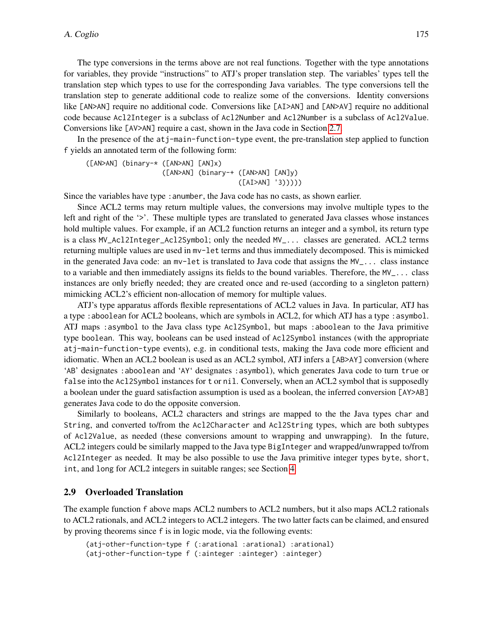The type conversions in the terms above are not real functions. Together with the type annotations for variables, they provide "instructions" to ATJ's proper translation step. The variables' types tell the translation step which types to use for the corresponding Java variables. The type conversions tell the translation step to generate additional code to realize some of the conversions. Identity conversions like [AN>AN] require no additional code. Conversions like [AI>AN] and [AN>AV] require no additional code because Acl2Integer is a subclass of Acl2Number and Acl2Number is a subclass of Acl2Value. Conversions like [AV>AN] require a cast, shown in the Java code in Section [2.7.](#page-5-1)

In the presence of the atj-main-function-type event, the pre-translation step applied to function f yields an annotated term of the following form:

([AN>AN] (binary-\* ([AN>AN] [AN]x) ([AN>AN] (binary-+ ([AN>AN] [AN]y) ([AI>AN] '3)))))

Since the variables have type : anumber, the Java code has no casts, as shown earlier.

Since ACL2 terms may return multiple values, the conversions may involve multiple types to the left and right of the '>'. These multiple types are translated to generated Java classes whose instances hold multiple values. For example, if an ACL2 function returns an integer and a symbol, its return type is a class MV\_Acl2Integer\_Acl2Symbol; only the needed MV\_... classes are generated. ACL2 terms returning multiple values are used in mv-let terms and thus immediately decomposed. This is mimicked in the generated Java code: an mv-let is translated to Java code that assigns the MV\_... class instance to a variable and then immediately assigns its fields to the bound variables. Therefore, the  $MV_$ ... class instances are only briefly needed; they are created once and re-used (according to a singleton pattern) mimicking ACL2's efficient non-allocation of memory for multiple values.

ATJ's type apparatus affords flexible representations of ACL2 values in Java. In particular, ATJ has a type : aboolean for ACL2 booleans, which are symbols in ACL2, for which ATJ has a type : asymbol. ATJ maps :asymbol to the Java class type Acl2Symbol, but maps :aboolean to the Java primitive type boolean. This way, booleans can be used instead of Acl2Symbol instances (with the appropriate atj-main-function-type events), e.g. in conditional tests, making the Java code more efficient and idiomatic. When an ACL2 boolean is used as an ACL2 symbol, ATJ infers a [AB>AY] conversion (where 'AB' designates :aboolean and 'AY' designates :asymbol), which generates Java code to turn true or false into the Acl2Symbol instances for t or nil. Conversely, when an ACL2 symbol that is supposedly a boolean under the guard satisfaction assumption is used as a boolean, the inferred conversion [AY>AB] generates Java code to do the opposite conversion.

Similarly to booleans, ACL2 characters and strings are mapped to the the Java types char and String, and converted to/from the Acl2Character and Acl2String types, which are both subtypes of Acl2Value, as needed (these conversions amount to wrapping and unwrapping). In the future, ACL2 integers could be similarly mapped to the Java type BigInteger and wrapped/unwrapped to/from Acl2Integer as needed. It may be also possible to use the Java primitive integer types byte, short, int, and long for ACL2 integers in suitable ranges; see Section [4.](#page-14-0)

#### <span id="page-7-0"></span>2.9 Overloaded Translation

The example function f above maps ACL2 numbers to ACL2 numbers, but it also maps ACL2 rationals to ACL2 rationals, and ACL2 integers to ACL2 integers. The two latter facts can be claimed, and ensured by proving theorems since f is in logic mode, via the following events:

```
(atj-other-function-type f (:arational :arational) :arational)
(atj-other-function-type f (:ainteger :ainteger) :ainteger)
```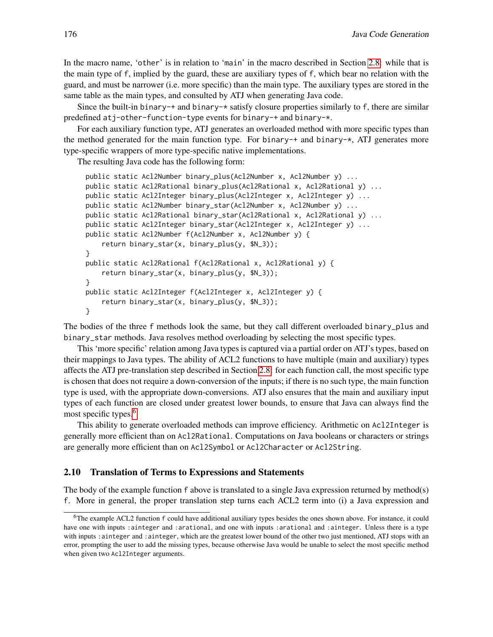In the macro name, 'other' is in relation to 'main' in the macro described in Section [2.8:](#page-5-0) while that is the main type of f, implied by the guard, these are auxiliary types of f, which bear no relation with the guard, and must be narrower (i.e. more specific) than the main type. The auxiliary types are stored in the same table as the main types, and consulted by ATJ when generating Java code.

Since the built-in binary-+ and binary- $\star$  satisfy closure properties similarly to f, there are similar predefined atj-other-function-type events for binary-+ and binary-\*.

For each auxiliary function type, ATJ generates an overloaded method with more specific types than the method generated for the main function type. For binary-+ and binary- $\star$ , ATJ generates more type-specific wrappers of more type-specific native implementations.

The resulting Java code has the following form:

```
public static Acl2Number binary_plus(Acl2Number x, Acl2Number y) ...
public static Acl2Rational binary_plus(Acl2Rational x, Acl2Rational y) ...
public static Acl2Integer binary_plus(Acl2Integer x, Acl2Integer y) ...
public static Acl2Number binary_star(Acl2Number x, Acl2Number y) ...
public static Acl2Rational binary_star(Acl2Rational x, Acl2Rational y) ...
public static Acl2Integer binary_star(Acl2Integer x, Acl2Integer y) ...
public static Acl2Number f(Acl2Number x, Acl2Number y) {
    return binary_star(x, binary_plus(y, $N_3));
}
public static Acl2Rational f(Acl2Rational x, Acl2Rational y) {
   return binary_star(x, binary_plus(y, $N_3));
}
public static Acl2Integer f(Acl2Integer x, Acl2Integer y) {
    return binary_star(x, binary_plus(y, $N_3));
}
```
The bodies of the three f methods look the same, but they call different overloaded binary\_plus and binary\_star methods. Java resolves method overloading by selecting the most specific types.

This 'more specific' relation among Java types is captured via a partial order on ATJ's types, based on their mappings to Java types. The ability of ACL2 functions to have multiple (main and auxiliary) types affects the ATJ pre-translation step described in Section [2.8:](#page-5-0) for each function call, the most specific type is chosen that does not require a down-conversion of the inputs; if there is no such type, the main function type is used, with the appropriate down-conversions. ATJ also ensures that the main and auxiliary input types of each function are closed under greatest lower bounds, to ensure that Java can always find the most specific types.<sup>[6](#page-8-1)</sup>

This ability to generate overloaded methods can improve efficiency. Arithmetic on Acl2Integer is generally more efficient than on Acl2Rational. Computations on Java booleans or characters or strings are generally more efficient than on Acl2Symbol or Acl2Character or Acl2String.

#### <span id="page-8-0"></span>2.10 Translation of Terms to Expressions and Statements

The body of the example function f above is translated to a single Java expression returned by method(s) f. More in general, the proper translation step turns each ACL2 term into (i) a Java expression and

<span id="page-8-1"></span> $6$ The example ACL2 function  $f$  could have additional auxiliary types besides the ones shown above. For instance, it could have one with inputs :ainteger and :arational, and one with inputs :arational and :ainteger. Unless there is a type with inputs : ainteger and : ainteger, which are the greatest lower bound of the other two just mentioned, ATJ stops with an error, prompting the user to add the missing types, because otherwise Java would be unable to select the most specific method when given two Acl2Integer arguments.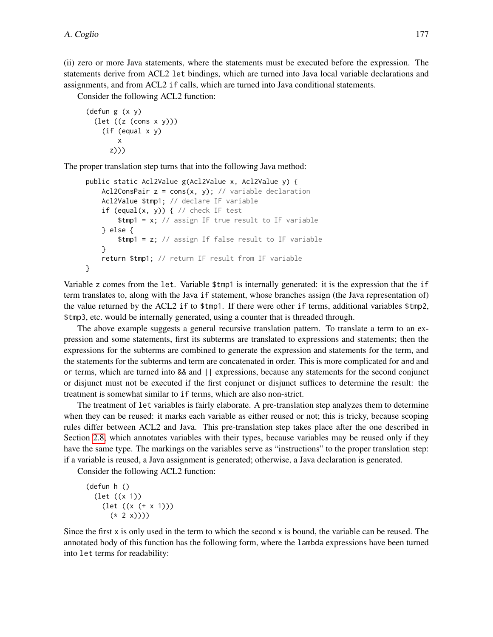(ii) zero or more Java statements, where the statements must be executed before the expression. The statements derive from ACL2 let bindings, which are turned into Java local variable declarations and assignments, and from ACL2 if calls, which are turned into Java conditional statements.

Consider the following ACL2 function:

```
(defun g (x y)
  (let ((z (cons x y)))
    (if (equal x y)
        x
      z)))
```
The proper translation step turns that into the following Java method:

```
public static Acl2Value g(Acl2Value x, Acl2Value y) {
    Acl2ConsPair z = const(x, y); // variable declaration
    Acl2Value $tmp1; // declare IF variable
    if (equal(x, y)) { // check IF test
        $tmp1 = x; // assign IF true result to IF variable
    } else {
        $tmp1 = z; // assign If false result to IF variable
    }
    return $tmp1; // return IF result from IF variable
}
```
Variable z comes from the let. Variable \$tmp1 is internally generated: it is the expression that the if term translates to, along with the Java if statement, whose branches assign (the Java representation of) the value returned by the ACL2 if to \$tmp1. If there were other if terms, additional variables \$tmp2, \$tmp3, etc. would be internally generated, using a counter that is threaded through.

The above example suggests a general recursive translation pattern. To translate a term to an expression and some statements, first its subterms are translated to expressions and statements; then the expressions for the subterms are combined to generate the expression and statements for the term, and the statements for the subterms and term are concatenated in order. This is more complicated for and and or terms, which are turned into && and || expressions, because any statements for the second conjunct or disjunct must not be executed if the first conjunct or disjunct suffices to determine the result: the treatment is somewhat similar to if terms, which are also non-strict.

The treatment of let variables is fairly elaborate. A pre-translation step analyzes them to determine when they can be reused: it marks each variable as either reused or not; this is tricky, because scoping rules differ between ACL2 and Java. This pre-translation step takes place after the one described in Section [2.8,](#page-5-0) which annotates variables with their types, because variables may be reused only if they have the same type. The markings on the variables serve as "instructions" to the proper translation step: if a variable is reused, a Java assignment is generated; otherwise, a Java declaration is generated.

Consider the following ACL2 function:

```
(defun h ()
 (let ((x 1))
   (let ((x (+ x 1)))
     (* 2 x)))
```
Since the first  $x$  is only used in the term to which the second  $x$  is bound, the variable can be reused. The annotated body of this function has the following form, where the lambda expressions have been turned into let terms for readability: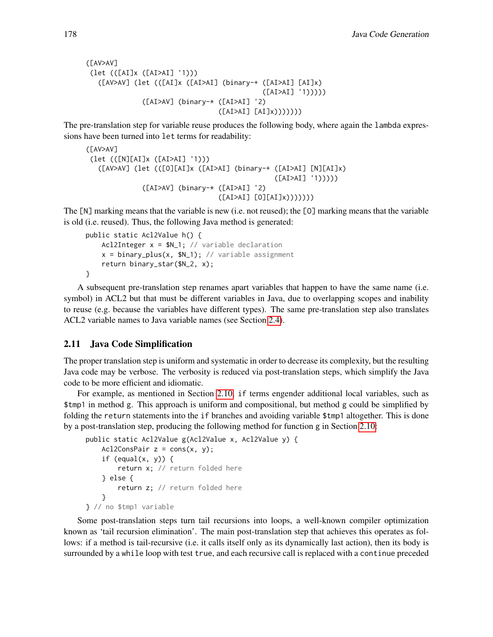```
([AV>AV]
 (let (([AI]x ([AI>AI] '1)))
   ([AV>AV] (let (([AI]x ([AI>AI] (binary-+ ([AI>AI] [AI]x)
                                            ([AI>AI] '1)))))
              ([AI>AV] (binary-* ([AI>AI] '2)
                                 ([AI>AI] [AI]x)))))))
```
The pre-translation step for variable reuse produces the following body, where again the lambda expressions have been turned into let terms for readability:

```
([AV>AV]
 (let (([N][AI]x ([AI>AI] '1)))
   ([AV>AV] (let (([O][AI]x ([AI>AI] (binary-+ ([AI>AI] [N][AI]x)
                                                ([AI>AI] '1)))))
              ([AI>AV] (binary-* ([AI>AI] '2)
                                 ([AI>AI] [O][AI]x)))))))
```
The [N] marking means that the variable is new (i.e. not reused); the [O] marking means that the variable is old (i.e. reused). Thus, the following Java method is generated:

```
public static Acl2Value h() {
    Acl2Integer x = $N_1; // variable declaration
    x = binary_{plus}(x, $N_1); // variable assignment
    return binary_star($N_2, x);
}
```
A subsequent pre-translation step renames apart variables that happen to have the same name (i.e. symbol) in ACL2 but that must be different variables in Java, due to overlapping scopes and inability to reuse (e.g. because the variables have different types). The same pre-translation step also translates ACL2 variable names to Java variable names (see Section [2.4\)](#page-2-3).

### <span id="page-10-0"></span>2.11 Java Code Simplification

The proper translation step is uniform and systematic in order to decrease its complexity, but the resulting Java code may be verbose. The verbosity is reduced via post-translation steps, which simplify the Java code to be more efficient and idiomatic.

For example, as mentioned in Section [2.10,](#page-8-0) if terms engender additional local variables, such as \$tmp1 in method g. This approach is uniform and compositional, but method g could be simplified by folding the return statements into the if branches and avoiding variable \$tmp1 altogether. This is done by a post-translation step, producing the following method for function g in Section [2.10:](#page-8-0)

```
public static Acl2Value g(Acl2Value x, Acl2Value y) {
    Acl2ConsPair z = const(x, y);
    if (equal(x, y)) {
        return x; // return folded here
    } else {
        return z; // return folded here
    }
} // no $tmp1 variable
```
Some post-translation steps turn tail recursions into loops, a well-known compiler optimization known as 'tail recursion elimination'. The main post-translation step that achieves this operates as follows: if a method is tail-recursive (i.e. it calls itself only as its dynamically last action), then its body is surrounded by a while loop with test true, and each recursive call is replaced with a continue preceded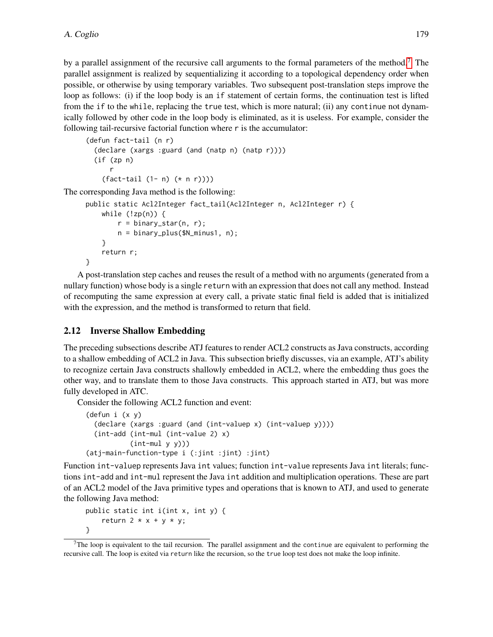by a parallel assignment of the recursive call arguments to the formal parameters of the method.<sup>[7](#page-11-1)</sup> The parallel assignment is realized by sequentializing it according to a topological dependency order when possible, or otherwise by using temporary variables. Two subsequent post-translation steps improve the loop as follows: (i) if the loop body is an if statement of certain forms, the continuation test is lifted from the if to the while, replacing the true test, which is more natural; (ii) any continue not dynamically followed by other code in the loop body is eliminated, as it is useless. For example, consider the following tail-recursive factorial function where r is the accumulator:

```
(defun fact-tail (n r)
 (declare (xargs :guard (and (natp n) (natp r))))
 (if (zp n)
      r
   (fact-tail (1- n) (* n r))))
```
The corresponding Java method is the following:

```
public static Acl2Integer fact_tail(Acl2Integer n, Acl2Integer r) {
    while (!zp(n)) {
        r = binary_{star}(n, r);n = binary_plus($N_minus1, n);
    }
    return r;
}
```
A post-translation step caches and reuses the result of a method with no arguments (generated from a nullary function) whose body is a single return with an expression that does not call any method. Instead of recomputing the same expression at every call, a private static final field is added that is initialized with the expression, and the method is transformed to return that field.

### <span id="page-11-0"></span>2.12 Inverse Shallow Embedding

The preceding subsections describe ATJ features to render ACL2 constructs as Java constructs, according to a shallow embedding of ACL2 in Java. This subsection briefly discusses, via an example, ATJ's ability to recognize certain Java constructs shallowly embedded in ACL2, where the embedding thus goes the other way, and to translate them to those Java constructs. This approach started in ATJ, but was more fully developed in ATC.

Consider the following ACL2 function and event:

```
(defun i (x y)
 (declare (xargs :guard (and (int-valuep x) (int-valuep y))))
 (int-add (int-mul (int-value 2) x)
          (int-mul y y))(atj-main-function-type i (:jint :jint) :jint)
```
Function int-valuep represents Java int values; function int-value represents Java int literals; functions int-add and int-mul represent the Java int addition and multiplication operations. These are part of an ACL2 model of the Java primitive types and operations that is known to ATJ, and used to generate the following Java method:

```
public static int i(int x, int y) {
    return 2 \times x + y \times y;
}
```
<span id="page-11-1"></span> $7$ The loop is equivalent to the tail recursion. The parallel assignment and the continue are equivalent to performing the recursive call. The loop is exited via return like the recursion, so the true loop test does not make the loop infinite.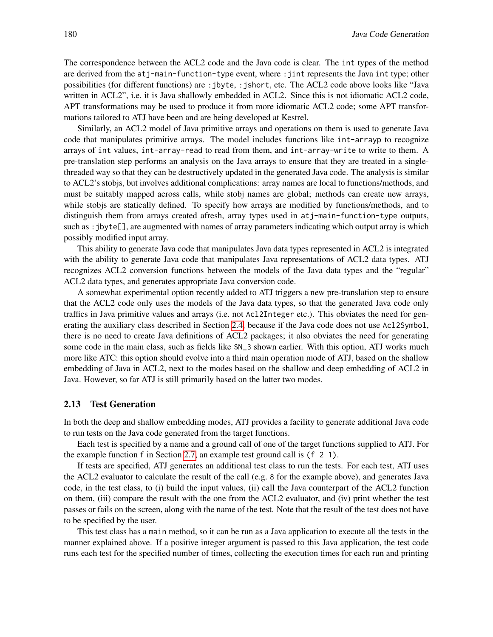The correspondence between the ACL2 code and the Java code is clear. The int types of the method are derived from the atj-main-function-type event, where :jint represents the Java int type; other possibilities (for different functions) are : jbyte, : jshort, etc. The ACL2 code above looks like "Java written in ACL2", i.e. it is Java shallowly embedded in ACL2. Since this is not idiomatic ACL2 code, APT transformations may be used to produce it from more idiomatic ACL2 code; some APT transformations tailored to ATJ have been and are being developed at Kestrel.

Similarly, an ACL2 model of Java primitive arrays and operations on them is used to generate Java code that manipulates primitive arrays. The model includes functions like int-arrayp to recognize arrays of int values, int-array-read to read from them, and int-array-write to write to them. A pre-translation step performs an analysis on the Java arrays to ensure that they are treated in a singlethreaded way so that they can be destructively updated in the generated Java code. The analysis is similar to ACL2's stobjs, but involves additional complications: array names are local to functions/methods, and must be suitably mapped across calls, while stobj names are global; methods can create new arrays, while stobis are statically defined. To specify how arrays are modified by functions/methods, and to distinguish them from arrays created afresh, array types used in atj-main-function-type outputs, such as :jbyte[], are augmented with names of array parameters indicating which output array is which possibly modified input array.

This ability to generate Java code that manipulates Java data types represented in ACL2 is integrated with the ability to generate Java code that manipulates Java representations of ACL2 data types. ATJ recognizes ACL2 conversion functions between the models of the Java data types and the "regular" ACL2 data types, and generates appropriate Java conversion code.

A somewhat experimental option recently added to ATJ triggers a new pre-translation step to ensure that the ACL2 code only uses the models of the Java data types, so that the generated Java code only traffics in Java primitive values and arrays (i.e. not Acl2Integer etc.). This obviates the need for generating the auxiliary class described in Section [2.4,](#page-2-3) because if the Java code does not use Acl2Symbol, there is no need to create Java definitions of ACL2 packages; it also obviates the need for generating some code in the main class, such as fields like \$N\_3 shown earlier. With this option, ATJ works much more like ATC: this option should evolve into a third main operation mode of ATJ, based on the shallow embedding of Java in ACL2, next to the modes based on the shallow and deep embedding of ACL2 in Java. However, so far ATJ is still primarily based on the latter two modes.

#### <span id="page-12-0"></span>2.13 Test Generation

In both the deep and shallow embedding modes, ATJ provides a facility to generate additional Java code to run tests on the Java code generated from the target functions.

Each test is specified by a name and a ground call of one of the target functions supplied to ATJ. For the example function f in Section [2.7,](#page-5-1) an example test ground call is (f 2 1).

If tests are specified, ATJ generates an additional test class to run the tests. For each test, ATJ uses the ACL2 evaluator to calculate the result of the call (e.g. 8 for the example above), and generates Java code, in the test class, to (i) build the input values, (ii) call the Java counterpart of the ACL2 function on them, (iii) compare the result with the one from the ACL2 evaluator, and (iv) print whether the test passes or fails on the screen, along with the name of the test. Note that the result of the test does not have to be specified by the user.

This test class has a main method, so it can be run as a Java application to execute all the tests in the manner explained above. If a positive integer argument is passed to this Java application, the test code runs each test for the specified number of times, collecting the execution times for each run and printing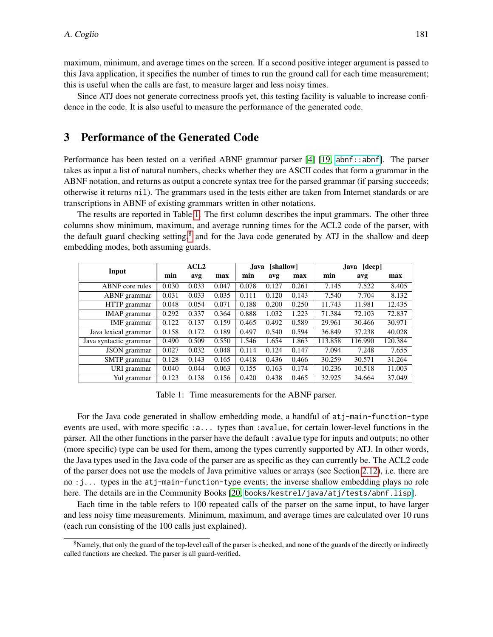maximum, minimum, and average times on the screen. If a second positive integer argument is passed to this Java application, it specifies the number of times to run the ground call for each time measurement; this is useful when the calls are fast, to measure larger and less noisy times.

Since ATJ does not generate correctness proofs yet, this testing facility is valuable to increase confidence in the code. It is also useful to measure the performance of the generated code.

# <span id="page-13-0"></span>3 Performance of the Generated Code

Performance has been tested on a verified ABNF grammar parser [\[4\]](#page-16-12) [\[19,](#page-16-9) [abnf::abnf](http://acl2.org/manual?topic=ABNF____ABNF)]. The parser takes as input a list of natural numbers, checks whether they are ASCII codes that form a grammar in the ABNF notation, and returns as output a concrete syntax tree for the parsed grammar (if parsing succeeds; otherwise it returns nil). The grammars used in the tests either are taken from Internet standards or are transcriptions in ABNF of existing grammars written in other notations.

The results are reported in Table [1.](#page-13-1) The first column describes the input grammars. The other three columns show minimum, maximum, and average running times for the ACL2 code of the parser, with the default guard checking setting,<sup>[8](#page-13-2)</sup> and for the Java code generated by ATJ in the shallow and deep embedding modes, both assuming guards.

| Input                  | ACL2  |       |       | [shallow]<br><b>Java</b> |       |       | [deep]<br>Java |         |         |
|------------------------|-------|-------|-------|--------------------------|-------|-------|----------------|---------|---------|
|                        | min   | avg   | max   | min                      | avg   | max   | min            | avg     | max     |
| ABNF core rules        | 0.030 | 0.033 | 0.047 | 0.078                    | 0.127 | 0.261 | 7.145          | 7.522   | 8.405   |
| ABNF grammar           | 0.031 | 0.033 | 0.035 | 0.111                    | 0.120 | 0.143 | 7.540          | 7.704   | 8.132   |
| HTTP grammar           | 0.048 | 0.054 | 0.071 | 0.188                    | 0.200 | 0.250 | 11.743         | 11.981  | 12.435  |
| <b>IMAP</b> grammar    | 0.292 | 0.337 | 0.364 | 0.888                    | 1.032 | 1.223 | 71.384         | 72.103  | 72.837  |
| IMF grammar            | 0.122 | 0.137 | 0.159 | 0.465                    | 0.492 | 0.589 | 29.961         | 30.466  | 30.971  |
| Java lexical grammar   | 0.158 | 0.172 | 0.189 | 0.497                    | 0.540 | 0.594 | 36.849         | 37.238  | 40.028  |
| Java syntactic grammar | 0.490 | 0.509 | 0.550 | 1.546                    | 1.654 | 1.863 | 113.858        | 116.990 | 120.384 |
| JSON grammar           | 0.027 | 0.032 | 0.048 | 0.114                    | 0.124 | 0.147 | 7.094          | 7.248   | 7.655   |
| SMTP grammar           | 0.128 | 0.143 | 0.165 | 0.418                    | 0.436 | 0.466 | 30.259         | 30.571  | 31.264  |
| URI grammar            | 0.040 | 0.044 | 0.063 | 0.155                    | 0.163 | 0.174 | 10.236         | 10.518  | 11.003  |
| Yul grammar            | 0.123 | 0.138 | 0.156 | 0.420                    | 0.438 | 0.465 | 32.925         | 34.664  | 37.049  |

<span id="page-13-1"></span>Table 1: Time measurements for the ABNF parser.

For the Java code generated in shallow embedding mode, a handful of atj-main-function-type events are used, with more specific :a... types than :avalue, for certain lower-level functions in the parser. All the other functions in the parser have the default : avalue type for inputs and outputs; no other (more specific) type can be used for them, among the types currently supported by ATJ. In other words, the Java types used in the Java code of the parser are as specific as they can currently be. The ACL2 code of the parser does not use the models of Java primitive values or arrays (see Section [2.12\)](#page-11-0), i.e. there are no :j... types in the atj-main-function-type events; the inverse shallow embedding plays no role here. The details are in the Community Books [\[20,](#page-16-13) [books/kestrel/java/atj/tests/abnf.lisp](https://github.com/acl2/acl2/tree/master/books/kestrel/java/atj/tests/abnf.lisp)].

Each time in the table refers to 100 repeated calls of the parser on the same input, to have larger and less noisy time measurements. Minimum, maximum, and average times are calculated over 10 runs (each run consisting of the 100 calls just explained).

<span id="page-13-2"></span><sup>&</sup>lt;sup>8</sup>Namely, that only the guard of the top-level call of the parser is checked, and none of the guards of the directly or indirectly called functions are checked. The parser is all guard-verified.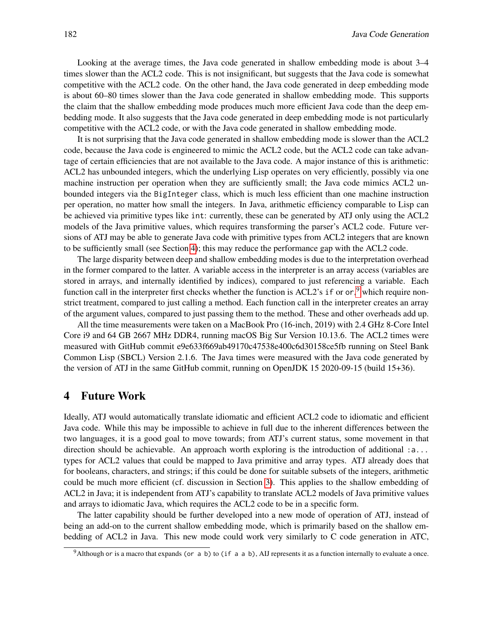Looking at the average times, the Java code generated in shallow embedding mode is about 3–4 times slower than the ACL2 code. This is not insignificant, but suggests that the Java code is somewhat competitive with the ACL2 code. On the other hand, the Java code generated in deep embedding mode is about 60–80 times slower than the Java code generated in shallow embedding mode. This supports the claim that the shallow embedding mode produces much more efficient Java code than the deep embedding mode. It also suggests that the Java code generated in deep embedding mode is not particularly competitive with the ACL2 code, or with the Java code generated in shallow embedding mode.

It is not surprising that the Java code generated in shallow embedding mode is slower than the ACL2 code, because the Java code is engineered to mimic the ACL2 code, but the ACL2 code can take advantage of certain efficiencies that are not available to the Java code. A major instance of this is arithmetic: ACL2 has unbounded integers, which the underlying Lisp operates on very efficiently, possibly via one machine instruction per operation when they are sufficiently small; the Java code mimics ACL2 unbounded integers via the BigInteger class, which is much less efficient than one machine instruction per operation, no matter how small the integers. In Java, arithmetic efficiency comparable to Lisp can be achieved via primitive types like int: currently, these can be generated by ATJ only using the ACL2 models of the Java primitive values, which requires transforming the parser's ACL2 code. Future versions of ATJ may be able to generate Java code with primitive types from ACL2 integers that are known to be sufficiently small (see Section [4\)](#page-14-0); this may reduce the performance gap with the ACL2 code.

The large disparity between deep and shallow embedding modes is due to the interpretation overhead in the former compared to the latter. A variable access in the interpreter is an array access (variables are stored in arrays, and internally identified by indices), compared to just referencing a variable. Each function call in the interpreter first checks whether the function is ACL2's if or or,<sup>[9](#page-14-1)</sup> which require nonstrict treatment, compared to just calling a method. Each function call in the interpreter creates an array of the argument values, compared to just passing them to the method. These and other overheads add up.

All the time measurements were taken on a MacBook Pro (16-inch, 2019) with 2.4 GHz 8-Core Intel Core i9 and 64 GB 2667 MHz DDR4, running macOS Big Sur Version 10.13.6. The ACL2 times were measured with GitHub commit e9e633f669ab49170c47538e400c6d30158ce5fb running on Steel Bank Common Lisp (SBCL) Version 2.1.6. The Java times were measured with the Java code generated by the version of ATJ in the same GitHub commit, running on OpenJDK 15 2020-09-15 (build 15+36).

### <span id="page-14-0"></span>4 Future Work

Ideally, ATJ would automatically translate idiomatic and efficient ACL2 code to idiomatic and efficient Java code. While this may be impossible to achieve in full due to the inherent differences between the two languages, it is a good goal to move towards; from ATJ's current status, some movement in that direction should be achievable. An approach worth exploring is the introduction of additional :a... types for ACL2 values that could be mapped to Java primitive and array types. ATJ already does that for booleans, characters, and strings; if this could be done for suitable subsets of the integers, arithmetic could be much more efficient (cf. discussion in Section [3\)](#page-13-0). This applies to the shallow embedding of ACL2 in Java; it is independent from ATJ's capability to translate ACL2 models of Java primitive values and arrays to idiomatic Java, which requires the ACL2 code to be in a specific form.

The latter capability should be further developed into a new mode of operation of ATJ, instead of being an add-on to the current shallow embedding mode, which is primarily based on the shallow embedding of ACL2 in Java. This new mode could work very similarly to C code generation in ATC,

<span id="page-14-1"></span> $9$ Although or is a macro that expands (or a b) to (if a a b), AIJ represents it as a function internally to evaluate a once.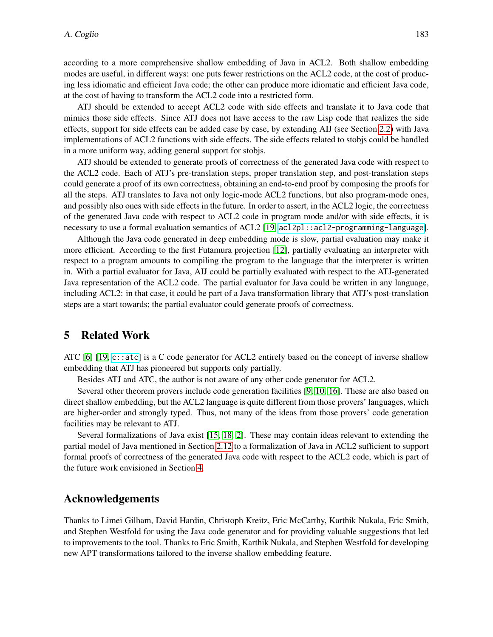according to a more comprehensive shallow embedding of Java in ACL2. Both shallow embedding modes are useful, in different ways: one puts fewer restrictions on the ACL2 code, at the cost of producing less idiomatic and efficient Java code; the other can produce more idiomatic and efficient Java code, at the cost of having to transform the ACL2 code into a restricted form.

ATJ should be extended to accept ACL2 code with side effects and translate it to Java code that mimics those side effects. Since ATJ does not have access to the raw Lisp code that realizes the side effects, support for side effects can be added case by case, by extending AIJ (see Section [2.2\)](#page-1-3) with Java implementations of ACL2 functions with side effects. The side effects related to stobjs could be handled in a more uniform way, adding general support for stobjs.

ATJ should be extended to generate proofs of correctness of the generated Java code with respect to the ACL2 code. Each of ATJ's pre-translation steps, proper translation step, and post-translation steps could generate a proof of its own correctness, obtaining an end-to-end proof by composing the proofs for all the steps. ATJ translates to Java not only logic-mode ACL2 functions, but also program-mode ones, and possibly also ones with side effects in the future. In order to assert, in the ACL2 logic, the correctness of the generated Java code with respect to ACL2 code in program mode and/or with side effects, it is necessary to use a formal evaluation semantics of ACL2 [\[19,](#page-16-9) ac12p1::ac12-programming-language].

Although the Java code generated in deep embedding mode is slow, partial evaluation may make it more efficient. According to the first Futamura projection [\[12\]](#page-16-14), partially evaluating an interpreter with respect to a program amounts to compiling the program to the language that the interpreter is written in. With a partial evaluator for Java, AIJ could be partially evaluated with respect to the ATJ-generated Java representation of the ACL2 code. The partial evaluator for Java could be written in any language, including ACL2: in that case, it could be part of a Java transformation library that ATJ's post-translation steps are a start towards; the partial evaluator could generate proofs of correctness.

# <span id="page-15-0"></span>5 Related Work

ATC [\[6\]](#page-16-10) [\[19,](#page-16-9) [c::atc](http://acl2.org/manual?topic=C____ATC)] is a C code generator for ACL2 entirely based on the concept of inverse shallow embedding that ATJ has pioneered but supports only partially.

Besides ATJ and ATC, the author is not aware of any other code generator for ACL2.

Several other theorem provers include code generation facilities [\[9,](#page-16-15) [10,](#page-16-16) [16\]](#page-16-17). These are also based on direct shallow embedding, but the ACL2 language is quite different from those provers' languages, which are higher-order and strongly typed. Thus, not many of the ideas from those provers' code generation facilities may be relevant to ATJ.

Several formalizations of Java exist [\[15,](#page-16-18) [18,](#page-16-19) [2\]](#page-16-20). These may contain ideas relevant to extending the partial model of Java mentioned in Section [2.12](#page-11-0) to a formalization of Java in ACL2 sufficient to support formal proofs of correctness of the generated Java code with respect to the ACL2 code, which is part of the future work envisioned in Section [4.](#page-14-0)

### Acknowledgements

Thanks to Limei Gilham, David Hardin, Christoph Kreitz, Eric McCarthy, Karthik Nukala, Eric Smith, and Stephen Westfold for using the Java code generator and for providing valuable suggestions that led to improvements to the tool. Thanks to Eric Smith, Karthik Nukala, and Stephen Westfold for developing new APT transformations tailored to the inverse shallow embedding feature.